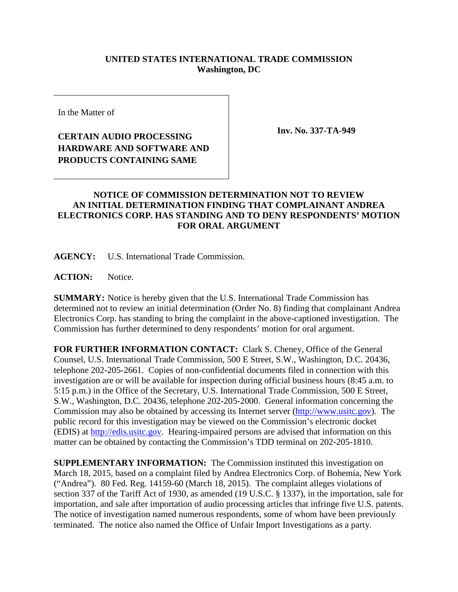## **UNITED STATES INTERNATIONAL TRADE COMMISSION Washington, DC**

In the Matter of

## **CERTAIN AUDIO PROCESSING HARDWARE AND SOFTWARE AND PRODUCTS CONTAINING SAME**

**Inv. No. 337-TA-949**

## **NOTICE OF COMMISSION DETERMINATION NOT TO REVIEW AN INITIAL DETERMINATION FINDING THAT COMPLAINANT ANDREA ELECTRONICS CORP. HAS STANDING AND TO DENY RESPONDENTS' MOTION FOR ORAL ARGUMENT**

**AGENCY:** U.S. International Trade Commission.

ACTION: Notice.

**SUMMARY:** Notice is hereby given that the U.S. International Trade Commission has determined not to review an initial determination (Order No. 8) finding that complainant Andrea Electronics Corp. has standing to bring the complaint in the above-captioned investigation. The Commission has further determined to deny respondents' motion for oral argument.

**FOR FURTHER INFORMATION CONTACT:** Clark S. Cheney, Office of the General Counsel, U.S. International Trade Commission, 500 E Street, S.W., Washington, D.C. 20436, telephone 202-205-2661. Copies of non-confidential documents filed in connection with this investigation are or will be available for inspection during official business hours (8:45 a.m. to 5:15 p.m.) in the Office of the Secretary, U.S. International Trade Commission, 500 E Street, S.W., Washington, D.C. 20436, telephone 202-205-2000. General information concerning the Commission may also be obtained by accessing its Internet server [\(http://www.usitc.gov\)](http://www.usitc.gov/). The public record for this investigation may be viewed on the Commission's electronic docket (EDIS) at [http://edis.usitc.gov.](http://edis.usitc.gov/) Hearing-impaired persons are advised that information on this matter can be obtained by contacting the Commission's TDD terminal on 202-205-1810.

**SUPPLEMENTARY INFORMATION:** The Commission instituted this investigation on March 18, 2015, based on a complaint filed by Andrea Electronics Corp. of Bohemia, New York ("Andrea"). 80 Fed. Reg. 14159-60 (March 18, 2015). The complaint alleges violations of section 337 of the Tariff Act of 1930, as amended (19 U.S.C. § 1337), in the importation, sale for importation, and sale after importation of audio processing articles that infringe five U.S. patents. The notice of investigation named numerous respondents, some of whom have been previously terminated. The notice also named the Office of Unfair Import Investigations as a party.